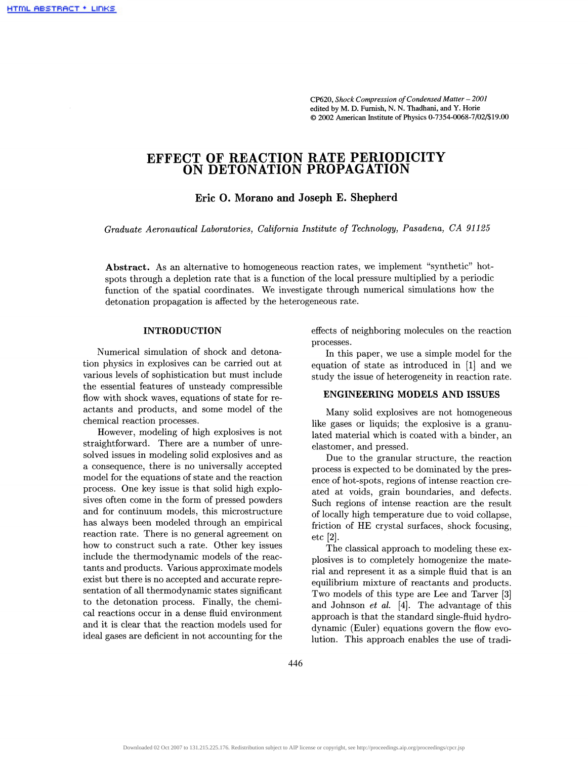CP620, *Shock Compression of Condensed Matter - 2001* edited by M. D. Furnish, N. N. Thadhani, and Y. Horie © 2002 American Institute of Physics 0-7354-0068-7/02/\$ 19.00

# **EFFECT OF REACTION RATE PERIODICITY ON DETONATION PROPAGATION**

# **Eric O. Morano and Joseph E. Shepherd**

*Graduate Aeronautical Laboratories, California Institute of Technology, Pasadena, CA 91125*

**Abstract.** As an alternative to homogeneous reaction rates, we implement "synthetic" hotspots through a depletion rate that is a function of the local pressure multiplied by a periodic function of the spatial coordinates. We investigate through numerical simulations how the detonation propagation is affected by the heterogeneous rate.

## **INTRODUCTION**

Numerical simulation of shock and detonation physics in explosives can be carried out at various levels of sophistication but must include the essential features of unsteady compressible flow with shock waves, equations of state for reactants and products, and some model of the chemical reaction processes.

However, modeling of high explosives is not straightforward. There are a number of unresolved issues in modeling solid explosives and as a consequence, there is no universally accepted model for the equations of state and the reaction process. One key issue is that solid high explosives often come in the form of pressed powders and for continuum models, this microstructure has always been modeled through an empirical reaction rate. There is no general agreement on how to construct such a rate. Other key issues include the thermodynamic models of the reactants and products. Various approximate models exist but there is no accepted and accurate representation of all thermodynamic states significant to the detonation process. Finally, the chemical reactions occur in a dense fluid environment and it is clear that the reaction models used for ideal gases are deficient in not accounting for the effects of neighboring molecules on the reaction processes.

In this paper, we use a simple model for the equation of state as introduced in [1] and we study the issue of heterogeneity in reaction rate.

# **ENGINEERING MODELS AND ISSUES**

Many solid explosives are not homogeneous like gases or liquids; the explosive is a granulated material which is coated with a binder, an elastomer, and pressed.

Due to the granular structure, the reaction process is expected to be dominated by the presence of hot-spots, regions of intense reaction created at voids, grain boundaries, and defects. Such regions of intense reaction are the result of locally high temperature due to void collapse, friction of HE crystal surfaces, shock focusing, etc [2].

The classical approach to modeling these explosives is to completely homogenize the material and represent it as a simple fluid that is an equilibrium mixture of reactants and products. Two models of this type are Lee and Tarver [3] and Johnson *et al.* [4]. The advantage of this approach is that the standard single-fluid hydrodynamic (Euler) equations govern the flow evolution. This approach enables the use of tradi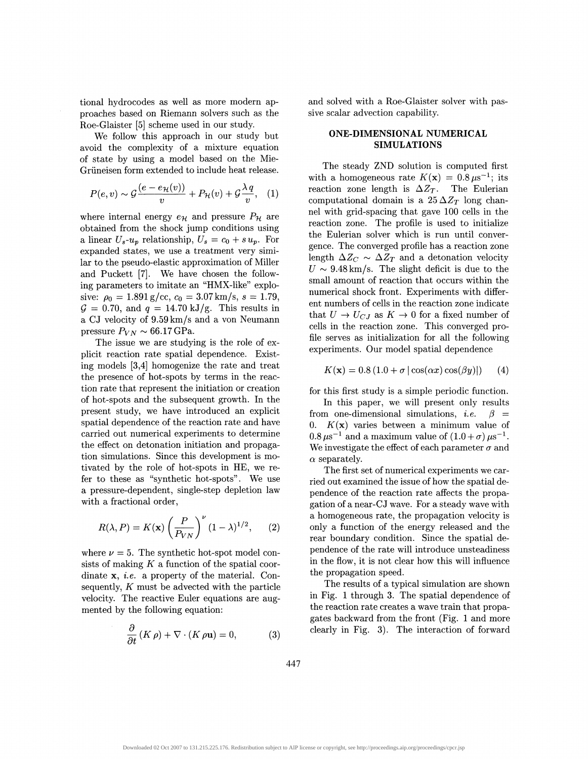tional hydrocodes as well as more modern approaches based on Riemann solvers such as the Roe-Glaister [5] scheme used in our study.

We follow this approach in our study but avoid the complexity of a mixture equation of state by using a model based on the Mie-Griineisen form extended to include heat release.

$$
P(e, v) \sim \mathcal{G}\frac{(e - e_{\mathcal{H}}(v))}{v} + P_{\mathcal{H}}(v) + \mathcal{G}\frac{\lambda q}{v}, \quad (1)
$$

where internal energy  $e_{\mathcal{H}}$  and pressure  $P_{\mathcal{H}}$  are obtained from the shock jump conditions using a linear  $U_s$ - $u_p$  relationship,  $U_s = c_0 + s u_p$ . For expanded states, we use a treatment very similar to the pseudo-elastic approximation of Miller and Puckett [7]. We have chosen the following parameters to imitate an "HMX-like" explosive:  $\rho_0 = 1.891 \text{ g/cc}, c_0 = 3.07 \text{ km/s}, s = 1.79,$  $\mathcal{G} = 0.70$ , and  $q = 14.70$  kJ/g. This results in a CJ velocity of 9. 59 km/s and a von Neumann pressure  $P_{VN} \sim 66.17 \text{ GPa}.$ 

The issue we are studying is the role of explicit reaction rate spatial dependence. Existing models [3,4] homogenize the rate and treat the presence of hot-spots by terms in the reaction rate that represent the initiation or creation of hot-spots and the subsequent growth. In the present study, we have introduced an explicit spatial dependence of the reaction rate and have carried out numerical experiments to determine the effect on detonation initiation and propagation simulations. Since this development is motivated by the role of hot-spots in HE, we refer to these as "synthetic hot-spots". We use a pressure-dependent, single-step depletion law with a fractional order,

$$
R(\lambda, P) = K(\mathbf{x}) \left(\frac{P}{P_{VN}}\right)^{\nu} (1 - \lambda)^{1/2}, \qquad (2)
$$

where  $\nu = 5$ . The synthetic hot-spot model consists of making *K* a function of the spatial coordinate x, *i.e.* a property of the material. Consequently, *K* must be advected with the particle velocity. The reactive Euler equations are augmented by the following equation:

$$
\frac{\partial}{\partial t} (K \rho) + \nabla \cdot (K \rho \mathbf{u}) = 0,
$$
 (3)

and solved with a Roe-Glaister solver with passive scalar advection capability.

# **ONE-DIMENSIONAL NUMERICAL SIMULATIONS**

The steady ZND solution is computed first with a homogeneous rate  $K(\mathbf{x}) = 0.8 \,\mu s^{-1}$ ; its reaction zone length is  $\Delta Z_T$ . The Eulerian computational domain is a  $25 \Delta Z_T$  long channel with grid-spacing that gave 100 cells in the reaction zone. The profile is used to initialize the Eulerian solver which is run until convergence. The converged profile has a reaction zone length  $\Delta Z_C \sim \Delta Z_T$  and a detonation velocity  $U \sim 9.48 \text{ km/s}$ . The slight deficit is due to the small amount of reaction that occurs within the numerical shock front. Experiments with different numbers of cells in the reaction zone indicate that  $U \to U_{CJ}$  as  $K \to 0$  for a fixed number of cells in the reaction zone. This converged profile serves as initialization for all the following experiments. Our model spatial dependence

$$
K(\mathbf{x}) = 0.8 \left(1.0 + \sigma \left| \cos(\alpha x) \cos(\beta y) \right|\right) \tag{4}
$$

for this first study is a simple periodic function.

In this paper, we will present only results from one-dimensional simulations, *i.e.*  $\beta$  = 0.  $K(\mathbf{x})$  varies between a minimum value of  $0.8 \,\mu s^{-1}$  and a maximum value of  $(1.0 + \sigma) \,\mu s^{-1}$ . We investigate the effect of each parameter  $\sigma$  and  $\alpha$  separately.

The first set of numerical experiments we carried out examined the issue of how the spatial dependence of the reaction rate affects the propagation of a near-CJ wave. For a steady wave with a homogeneous rate, the propagation velocity is only a function of the energy released and the rear boundary condition. Since the spatial dependence of the rate will introduce unsteadiness in the flow, it is not clear how this will influence the propagation speed.

The results of a typical simulation are shown in Fig. 1 through 3. The spatial dependence of the reaction rate creates a wave train that propagates backward from the front (Fig. 1 and more clearly in Fig. 3). The interaction of forward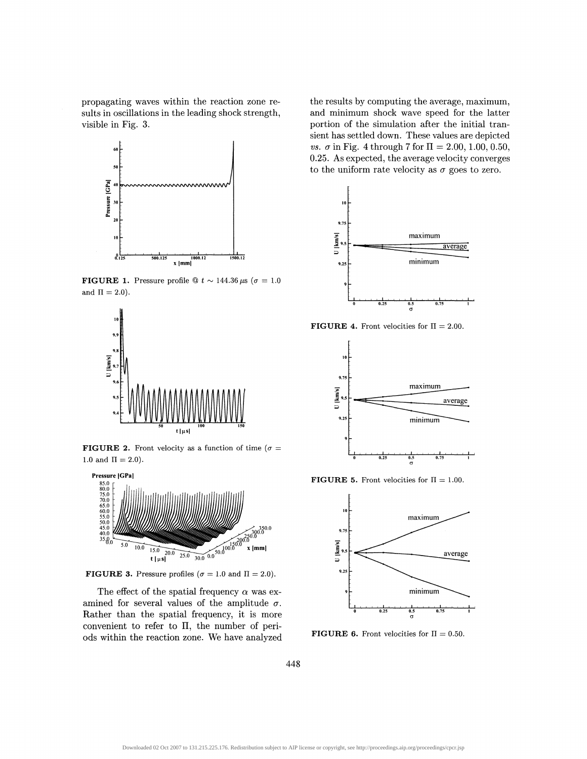propagating waves within the reaction zone results in oscillations in the leading shock strength, visible in Fig. 3.



**FIGURE 1.** Pressure profile  $\& t \sim 144.36 \,\mu s \, (\sigma = 1.0$ and  $\Pi = 2.0$ ).



**FIGURE 2.** Front velocity as a function of time ( $\sigma =$ 1.0 and  $\Pi = 2.0$ ).





The effect of the spatial frequency  $\alpha$  was examined for several values of the amplitude  $\sigma$ . Rather than the spatial frequency, it is more convenient to refer to II, the number of periods within the reaction zone. We have analyzed

the results by computing the average, maximum, and minimum shock wave speed for the latter portion of the simulation after the initial transient has settled down. These values are depicted *vs.*  $\sigma$  in Fig. 4 through 7 for  $\Pi = 2.00, 1.00, 0.50$ , 0.25. As expected, the average velocity converges to the uniform rate velocity as  $\sigma$  goes to zero.



**FIGURE 4.** Front velocities for  $\Pi = 2.00$ .



**FIGURE 5.** Front velocities for  $\Pi = 1.00$ .



**FIGURE 6.** Front velocities for  $\Pi = 0.50$ .

448